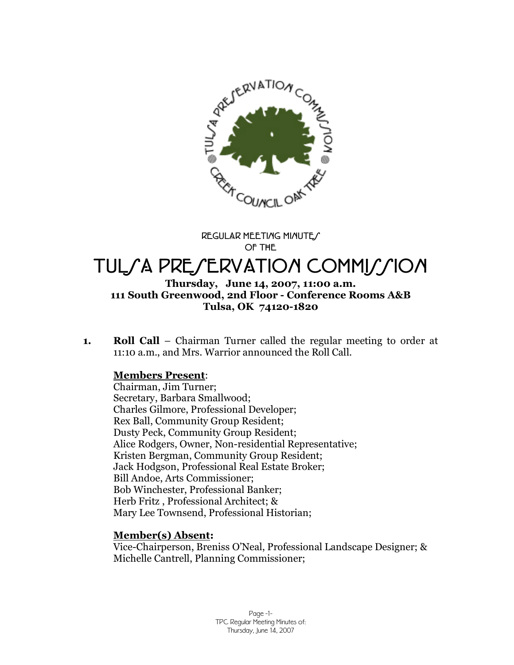

**REGULAR MEETING MINUTES OF THE**

# TULSA PRESERVATION COMMISSION

#### **Thursday, June 14, 2007, 11:00 a.m. 111 South Greenwood, 2nd Floor - Conference Rooms A&B Tulsa, OK 74120-1820**

**1. Roll Call** – Chairman Turner called the regular meeting to order at 11:10 a.m., and Mrs. Warrior announced the Roll Call.

# **Members Present**:

Chairman, Jim Turner; Secretary, Barbara Smallwood; Charles Gilmore, Professional Developer; Rex Ball, Community Group Resident; Dusty Peck, Community Group Resident; Alice Rodgers, Owner, Non-residential Representative; Kristen Bergman, Community Group Resident; Jack Hodgson, Professional Real Estate Broker; Bill Andoe, Arts Commissioner; Bob Winchester, Professional Banker; Herb Fritz , Professional Architect; & Mary Lee Townsend, Professional Historian;

# **Member(s) Absent:**

Vice-Chairperson, Breniss O'Neal, Professional Landscape Designer; & Michelle Cantrell, Planning Commissioner;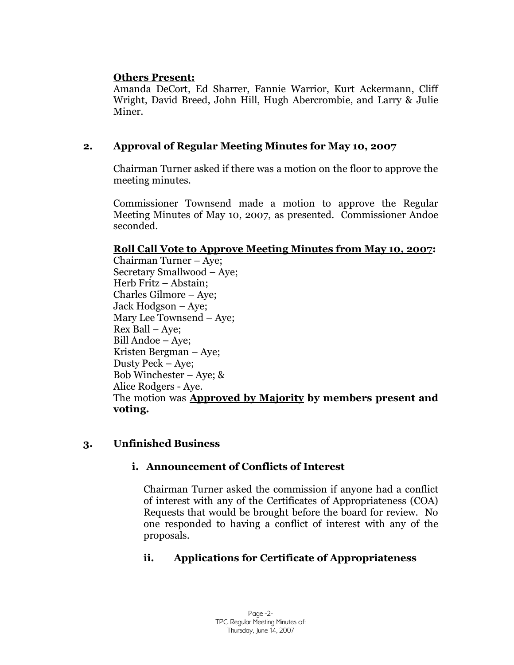#### **Others Present:**

Amanda DeCort, Ed Sharrer, Fannie Warrior, Kurt Ackermann, Cliff Wright, David Breed, John Hill, Hugh Abercrombie, and Larry & Julie Miner.

# **2. Approval of Regular Meeting Minutes for May 10, 2007**

Chairman Turner asked if there was a motion on the floor to approve the meeting minutes.

Commissioner Townsend made a motion to approve the Regular Meeting Minutes of May 10, 2007, as presented. Commissioner Andoe seconded.

# **Roll Call Vote to Approve Meeting Minutes from May 10, 2007:**

Chairman Turner – Aye; Secretary Smallwood – Aye; Herb Fritz – Abstain; Charles Gilmore – Aye; Jack Hodgson – Aye; Mary Lee Townsend – Aye; Rex Ball – Aye; Bill Andoe – Aye; Kristen Bergman – Aye; Dusty Peck – Aye; Bob Winchester – Aye; & Alice Rodgers - Aye. The motion was **Approved by Majority by members present and voting.**

# **3. Unfinished Business**

# **i. Announcement of Conflicts of Interest**

Chairman Turner asked the commission if anyone had a conflict of interest with any of the Certificates of Appropriateness (COA) Requests that would be brought before the board for review. No one responded to having a conflict of interest with any of the proposals.

# **ii. Applications for Certificate of Appropriateness**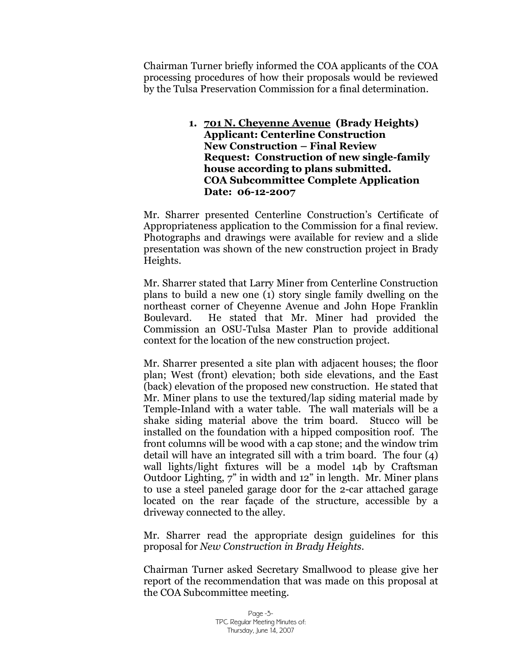Chairman Turner briefly informed the COA applicants of the COA processing procedures of how their proposals would be reviewed by the Tulsa Preservation Commission for a final determination.

> **1. 701 N. Cheyenne Avenue (Brady Heights) Applicant: Centerline Construction New Construction – Final Review Request: Construction of new single-family house according to plans submitted. COA Subcommittee Complete Application Date: 06-12-2007**

Mr. Sharrer presented Centerline Construction's Certificate of Appropriateness application to the Commission for a final review. Photographs and drawings were available for review and a slide presentation was shown of the new construction project in Brady Heights.

Mr. Sharrer stated that Larry Miner from Centerline Construction plans to build a new one (1) story single family dwelling on the northeast corner of Cheyenne Avenue and John Hope Franklin Boulevard. He stated that Mr. Miner had provided the Commission an OSU-Tulsa Master Plan to provide additional context for the location of the new construction project.

Mr. Sharrer presented a site plan with adjacent houses; the floor plan; West (front) elevation; both side elevations, and the East (back) elevation of the proposed new construction. He stated that Mr. Miner plans to use the textured/lap siding material made by Temple-Inland with a water table. The wall materials will be a shake siding material above the trim board. Stucco will be installed on the foundation with a hipped composition roof. The front columns will be wood with a cap stone; and the window trim detail will have an integrated sill with a trim board. The four (4) wall lights/light fixtures will be a model 14b by Craftsman Outdoor Lighting, 7" in width and 12" in length. Mr. Miner plans to use a steel paneled garage door for the 2-car attached garage located on the rear façade of the structure, accessible by a driveway connected to the alley.

Mr. Sharrer read the appropriate design guidelines for this proposal for *New Construction in Brady Heights.*

Chairman Turner asked Secretary Smallwood to please give her report of the recommendation that was made on this proposal at the COA Subcommittee meeting.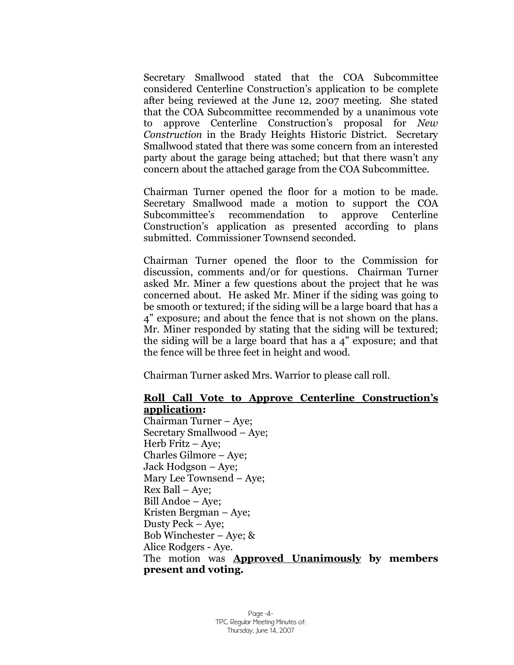Secretary Smallwood stated that the COA Subcommittee considered Centerline Construction's application to be complete after being reviewed at the June 12, 2007 meeting. She stated that the COA Subcommittee recommended by a unanimous vote to approve Centerline Construction's proposal for *New Construction* in the Brady Heights Historic District. Secretary Smallwood stated that there was some concern from an interested party about the garage being attached; but that there wasn't any concern about the attached garage from the COA Subcommittee.

Chairman Turner opened the floor for a motion to be made. Secretary Smallwood made a motion to support the COA Subcommittee's recommendation to approve Centerline Construction's application as presented according to plans submitted. Commissioner Townsend seconded.

Chairman Turner opened the floor to the Commission for discussion, comments and/or for questions. Chairman Turner asked Mr. Miner a few questions about the project that he was concerned about. He asked Mr. Miner if the siding was going to be smooth or textured; if the siding will be a large board that has a 4" exposure; and about the fence that is not shown on the plans. Mr. Miner responded by stating that the siding will be textured; the siding will be a large board that has a 4" exposure; and that the fence will be three feet in height and wood.

Chairman Turner asked Mrs. Warrior to please call roll.

### **Roll Call Vote to Approve Centerline Construction's application:**

Chairman Turner – Aye; Secretary Smallwood – Aye; Herb Fritz – Aye; Charles Gilmore – Aye; Jack Hodgson – Aye; Mary Lee Townsend – Aye; Rex Ball – Aye; Bill Andoe – Aye; Kristen Bergman – Aye; Dusty Peck – Aye; Bob Winchester – Aye; & Alice Rodgers - Aye. The motion was **Approved Unanimously by members present and voting.**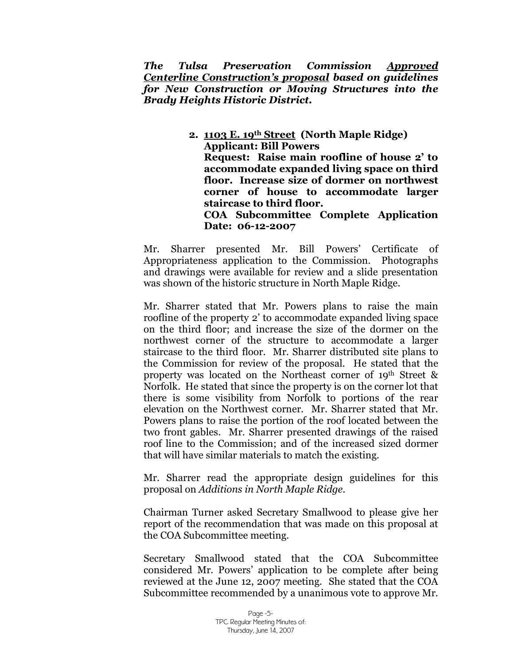*The Tulsa Preservation Commission Approved Centerline Construction's proposal based on guidelines for New Construction or Moving Structures into the Brady Heights Historic District.*

> **2. 1103 E. 19th Street (North Maple Ridge) Applicant: Bill Powers Request: Raise main roofline of house 2' to accommodate expanded living space on third floor. Increase size of dormer on northwest corner of house to accommodate larger staircase to third floor. COA Subcommittee Complete Application Date: 06-12-2007**

Mr. Sharrer presented Mr. Bill Powers' Certificate of Appropriateness application to the Commission. Photographs and drawings were available for review and a slide presentation was shown of the historic structure in North Maple Ridge.

Mr. Sharrer stated that Mr. Powers plans to raise the main roofline of the property 2' to accommodate expanded living space on the third floor; and increase the size of the dormer on the northwest corner of the structure to accommodate a larger staircase to the third floor. Mr. Sharrer distributed site plans to the Commission for review of the proposal. He stated that the property was located on the Northeast corner of 19th Street & Norfolk. He stated that since the property is on the corner lot that there is some visibility from Norfolk to portions of the rear elevation on the Northwest corner. Mr. Sharrer stated that Mr. Powers plans to raise the portion of the roof located between the two front gables. Mr. Sharrer presented drawings of the raised roof line to the Commission; and of the increased sized dormer that will have similar materials to match the existing.

Mr. Sharrer read the appropriate design guidelines for this proposal on *Additions in North Maple Ridge.* 

Chairman Turner asked Secretary Smallwood to please give her report of the recommendation that was made on this proposal at the COA Subcommittee meeting.

Secretary Smallwood stated that the COA Subcommittee considered Mr. Powers'application to be complete after being reviewed at the June 12, 2007 meeting. She stated that the COA Subcommittee recommended by a unanimous vote to approve Mr.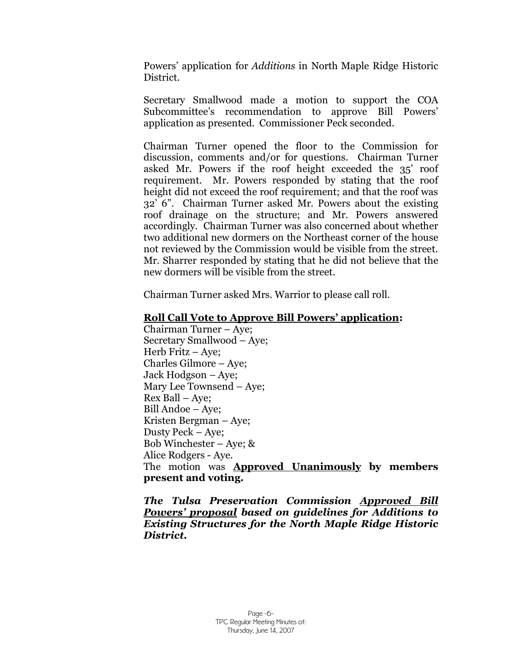Powers' application for *Additions* in North Maple Ridge Historic District.

Secretary Smallwood made a motion to support the COA Subcommittee's recommendation to approve Bill Powers' application as presented. Commissioner Peck seconded.

Chairman Turner opened the floor to the Commission for discussion, comments and/or for questions. Chairman Turner asked Mr. Powers if the roof height exceeded the 35' roof requirement. Mr. Powers responded by stating that the roof height did not exceed the roof requirement; and that the roof was 32' 6". Chairman Turner asked Mr. Powers about the existing roof drainage on the structure; and Mr. Powers answered accordingly. Chairman Turner was also concerned about whether two additional new dormers on the Northeast corner of the house not reviewed by the Commission would be visible from the street. Mr. Sharrer responded by stating that he did not believe that the new dormers will be visible from the street.

Chairman Turner asked Mrs. Warrior to please call roll.

#### **Roll Call Vote to Approve Bill Powers'application:**

Chairman Turner – Aye; Secretary Smallwood – Aye; Herb Fritz – Aye; Charles Gilmore – Aye; Jack Hodgson – Aye; Mary Lee Townsend – Aye; Rex Ball – Aye; Bill Andoe – Aye; Kristen Bergman – Aye; Dusty Peck – Aye; Bob Winchester – Aye; & Alice Rodgers - Aye. The motion was **Approved Unanimously by members present and voting.**

*The Tulsa Preservation Commission Approved Bill Powers'proposal based on guidelines for Additions to Existing Structures for the North Maple Ridge Historic District.*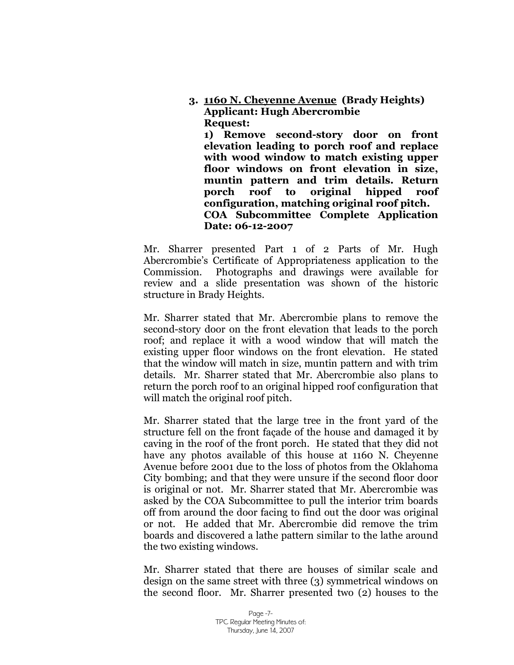**3. 1160 N. Cheyenne Avenue (Brady Heights) Applicant: Hugh Abercrombie Request:** 

**1) Remove second-story door on front elevation leading to porch roof and replace with wood window to match existing upper floor windows on front elevation in size, muntin pattern and trim details. Return porch roof to original hipped roof configuration, matching original roof pitch. COA Subcommittee Complete Application Date: 06-12-2007**

Mr. Sharrer presented Part 1 of 2 Parts of Mr. Hugh Abercrombie's Certificate of Appropriateness application to the Commission. Photographs and drawings were available for review and a slide presentation was shown of the historic structure in Brady Heights.

Mr. Sharrer stated that Mr. Abercrombie plans to remove the second-story door on the front elevation that leads to the porch roof; and replace it with a wood window that will match the existing upper floor windows on the front elevation. He stated that the window will match in size, muntin pattern and with trim details. Mr. Sharrer stated that Mr. Abercrombie also plans to return the porch roof to an original hipped roof configuration that will match the original roof pitch.

Mr. Sharrer stated that the large tree in the front yard of the structure fell on the front façade of the house and damaged it by caving in the roof of the front porch. He stated that they did not have any photos available of this house at 1160 N. Cheyenne Avenue before 2001 due to the loss of photos from the Oklahoma City bombing; and that they were unsure if the second floor door is original or not. Mr. Sharrer stated that Mr. Abercrombie was asked by the COA Subcommittee to pull the interior trim boards off from around the door facing to find out the door was original or not. He added that Mr. Abercrombie did remove the trim boards and discovered a lathe pattern similar to the lathe around the two existing windows.

Mr. Sharrer stated that there are houses of similar scale and design on the same street with three (3) symmetrical windows on the second floor. Mr. Sharrer presented two (2) houses to the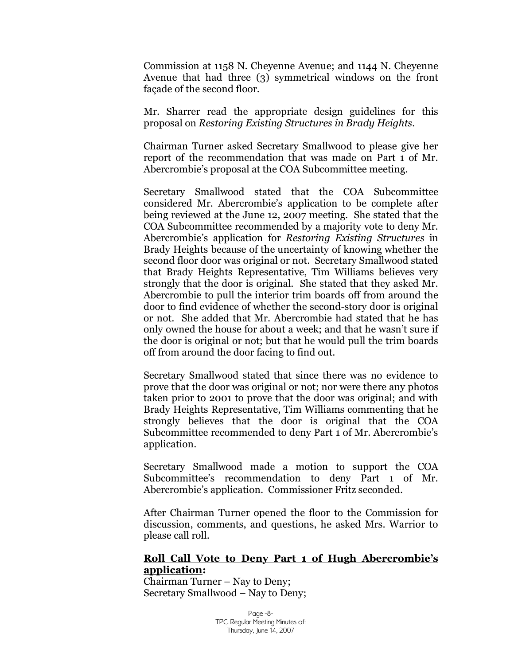Commission at 1158 N. Cheyenne Avenue; and 1144 N. Cheyenne Avenue that had three (3) symmetrical windows on the front façade of the second floor.

Mr. Sharrer read the appropriate design guidelines for this proposal on *Restoring Existing Structures in Brady Heights.*

Chairman Turner asked Secretary Smallwood to please give her report of the recommendation that was made on Part 1 of Mr. Abercrombie's proposal at the COA Subcommittee meeting.

Secretary Smallwood stated that the COA Subcommittee considered Mr. Abercrombie's application to be complete after being reviewed at the June 12, 2007 meeting. She stated that the COA Subcommittee recommended by a majority vote to deny Mr. Abercrombie's application for *Restoring Existing Structures* in Brady Heights because of the uncertainty of knowing whether the second floor door was original or not. Secretary Smallwood stated that Brady Heights Representative, Tim Williams believes very strongly that the door is original. She stated that they asked Mr. Abercrombie to pull the interior trim boards off from around the door to find evidence of whether the second-story door is original or not. She added that Mr. Abercrombie had stated that he has only owned the house for about a week; and that he wasn't sure if the door is original or not; but that he would pull the trim boards off from around the door facing to find out.

Secretary Smallwood stated that since there was no evidence to prove that the door was original or not; nor were there any photos taken prior to 2001 to prove that the door was original; and with Brady Heights Representative, Tim Williams commenting that he strongly believes that the door is original that the COA Subcommittee recommended to deny Part 1 of Mr. Abercrombie's application.

Secretary Smallwood made a motion to support the COA Subcommittee's recommendation to deny Part 1 of Mr. Abercrombie's application. Commissioner Fritz seconded.

After Chairman Turner opened the floor to the Commission for discussion, comments, and questions, he asked Mrs. Warrior to please call roll.

#### **Roll Call Vote to Deny Part 1 of Hugh Abercrombie's application:**

Chairman Turner – Nay to Deny; Secretary Smallwood – Nay to Deny;

> Page -8- TPC Regular Meeting Minutes of: Thursday, June 14, 2007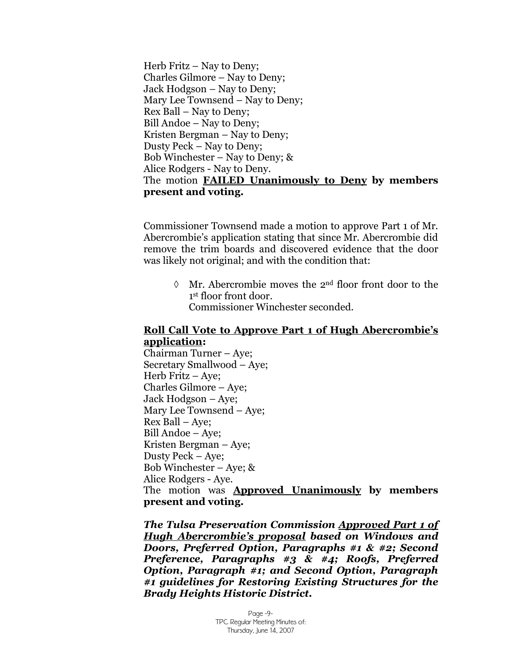Herb Fritz  $-$  Nay to Deny; Charles Gilmore – Nay to Deny; Jack Hodgson – Nay to Deny; Mary Lee Townsend – Nay to Deny; Rex Ball – Nay to Deny; Bill Andoe – Nay to Deny; Kristen Bergman – Nay to Deny: Dusty Peck – Nay to Deny; Bob Winchester – Nay to Deny;  $\&$ Alice Rodgers - Nay to Deny. The motion **FAILED Unanimously to Deny by members present and voting.**

Commissioner Townsend made a motion to approve Part 1 of Mr. Abercrombie's application stating that since Mr. Abercrombie did remove the trim boards and discovered evidence that the door was likely not original; and with the condition that:

> $\lozenge$  Mr. Abercrombie moves the 2<sup>nd</sup> floor front door to the 1 st floor front door. Commissioner Winchester seconded.

#### **Roll Call Vote to Approve Part 1 of Hugh Abercrombie's application:**

Chairman Turner – Aye; Secretary Smallwood – Aye; Herb Fritz – Aye; Charles Gilmore – Aye; Jack Hodgson – Aye; Mary Lee Townsend – Aye; Rex Ball – Aye; Bill Andoe – Aye; Kristen Bergman – Aye; Dusty Peck – Aye; Bob Winchester – Aye; & Alice Rodgers - Aye. The motion was **Approved Unanimously by members present and voting.**

*The Tulsa Preservation Commission Approved Part 1 of Hugh Abercrombie's proposal based on Windows and Doors, Preferred Option, Paragraphs #1 & #2; Second Preference, Paragraphs #3 & #4; Roofs, Preferred Option, Paragraph #1; and Second Option, Paragraph #1 guidelines for Restoring Existing Structures for the Brady Heights Historic District.*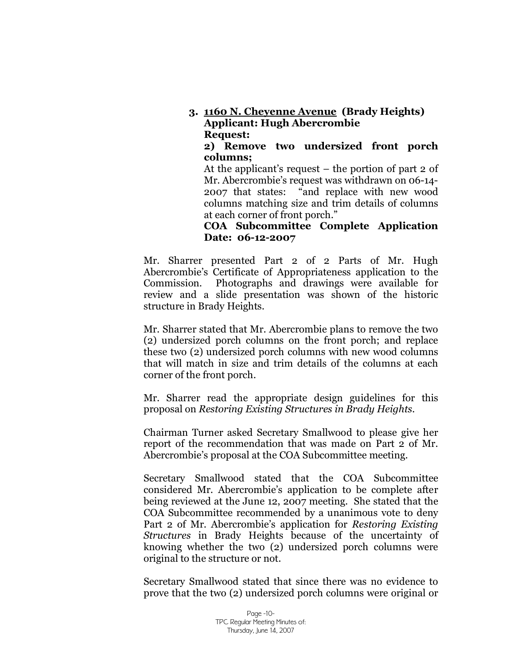# **3. 1160 N. Cheyenne Avenue (Brady Heights) Applicant: Hugh Abercrombie Request:**

**2) Remove two undersized front porch columns;**

At the applicant's request – the portion of part 2 of Mr. Abercrombie's request was withdrawn on 06-14- 2007 that states: "and replace with new wood columns matching size and trim details of columns at each corner of front porch."

#### **COA Subcommittee Complete Application Date: 06-12-2007**

Mr. Sharrer presented Part 2 of 2 Parts of Mr. Hugh Abercrombie's Certificate of Appropriateness application to the Commission. Photographs and drawings were available for review and a slide presentation was shown of the historic structure in Brady Heights.

Mr. Sharrer stated that Mr. Abercrombie plans to remove the two (2) undersized porch columns on the front porch; and replace these two (2) undersized porch columns with new wood columns that will match in size and trim details of the columns at each corner of the front porch.

Mr. Sharrer read the appropriate design guidelines for this proposal on *Restoring Existing Structures in Brady Heights.*

Chairman Turner asked Secretary Smallwood to please give her report of the recommendation that was made on Part 2 of Mr. Abercrombie's proposal at the COA Subcommittee meeting.

Secretary Smallwood stated that the COA Subcommittee considered Mr. Abercrombie's application to be complete after being reviewed at the June 12, 2007 meeting. She stated that the COA Subcommittee recommended by a unanimous vote to deny Part 2 of Mr. Abercrombie's application for *Restoring Existing Structures* in Brady Heights because of the uncertainty of knowing whether the two (2) undersized porch columns were original to the structure or not.

Secretary Smallwood stated that since there was no evidence to prove that the two (2) undersized porch columns were original or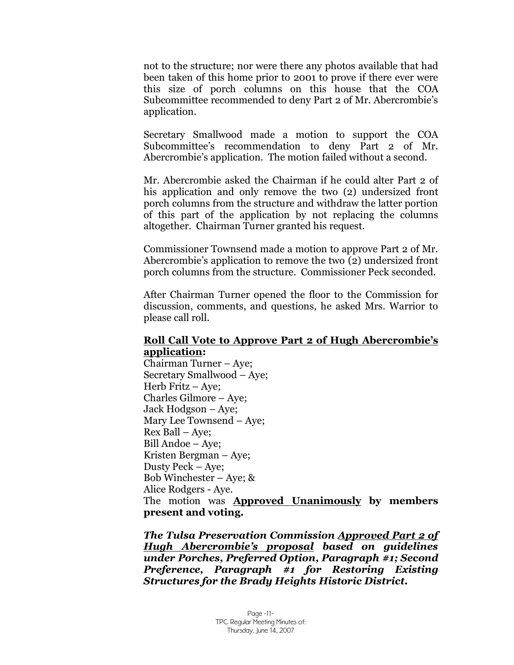not to the structure; nor were there any photos available that had been taken of this home prior to 2001 to prove if there ever were this size of porch columns on this house that the COA Subcommittee recommended to deny Part 2 of Mr. Abercrombie's application.

Secretary Smallwood made a motion to support the COA Subcommittee's recommendation to deny Part 2 of Mr. Abercrombie's application. The motion failed without a second.

Mr. Abercrombie asked the Chairman if he could alter Part 2 of his application and only remove the two (2) undersized front porch columns from the structure and withdraw the latter portion of this part of the application by not replacing the columns altogether. Chairman Turner granted his request.

Commissioner Townsend made a motion to approve Part 2 of Mr. Abercrombie's application to remove the two (2) undersized front porch columns from the structure. Commissioner Peck seconded.

After Chairman Turner opened the floor to the Commission for discussion, comments, and questions, he asked Mrs. Warrior to please call roll.

#### **Roll Call Vote to Approve Part 2 of Hugh Abercrombie's application:**

Chairman Turner – Aye; Secretary Smallwood – Aye; Herb Fritz – Aye; Charles Gilmore – Aye; Jack Hodgson – Aye; Mary Lee Townsend – Aye; Rex Ball – Aye; Bill Andoe – Aye; Kristen Bergman – Aye; Dusty Peck – Aye; Bob Winchester – Aye; & Alice Rodgers - Aye. The motion was **Approved Unanimously by members present and voting.**

*The Tulsa Preservation Commission Approved Part 2 of Hugh Abercrombie's proposal based on guidelines under Porches, Preferred Option, Paragraph #1; Second Preference, Paragraph #1 for Restoring Existing Structures for the Brady Heights Historic District.*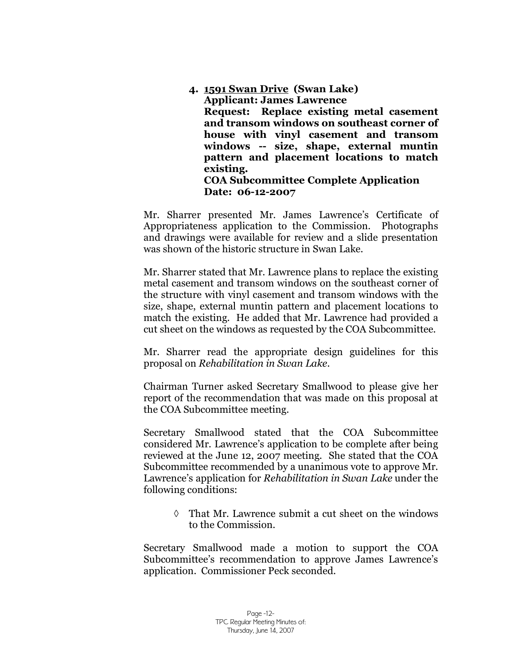**4. 1591 Swan Drive (Swan Lake) Applicant: James Lawrence Request: Replace existing metal casement and transom windows on southeast corner of house with vinyl casement and transom windows -- size, shape, external muntin pattern and placement locations to match existing. COA Subcommittee Complete Application Date: 06-12-2007**

Mr. Sharrer presented Mr. James Lawrence's Certificate of Appropriateness application to the Commission. Photographs and drawings were available for review and a slide presentation was shown of the historic structure in Swan Lake.

Mr. Sharrer stated that Mr. Lawrence plans to replace the existing metal casement and transom windows on the southeast corner of the structure with vinyl casement and transom windows with the size, shape, external muntin pattern and placement locations to match the existing. He added that Mr. Lawrence had provided a cut sheet on the windows as requested by the COA Subcommittee.

Mr. Sharrer read the appropriate design guidelines for this proposal on *Rehabilitation in Swan Lake.* 

Chairman Turner asked Secretary Smallwood to please give her report of the recommendation that was made on this proposal at the COA Subcommittee meeting.

Secretary Smallwood stated that the COA Subcommittee considered Mr. Lawrence's application to be complete after being reviewed at the June 12, 2007 meeting. She stated that the COA Subcommittee recommended by a unanimous vote to approve Mr. Lawrence's application for *Rehabilitation in Swan Lake* under the following conditions:

> $\Diamond$  That Mr. Lawrence submit a cut sheet on the windows to the Commission.

Secretary Smallwood made a motion to support the COA Subcommittee's recommendation to approve James Lawrence's application. Commissioner Peck seconded.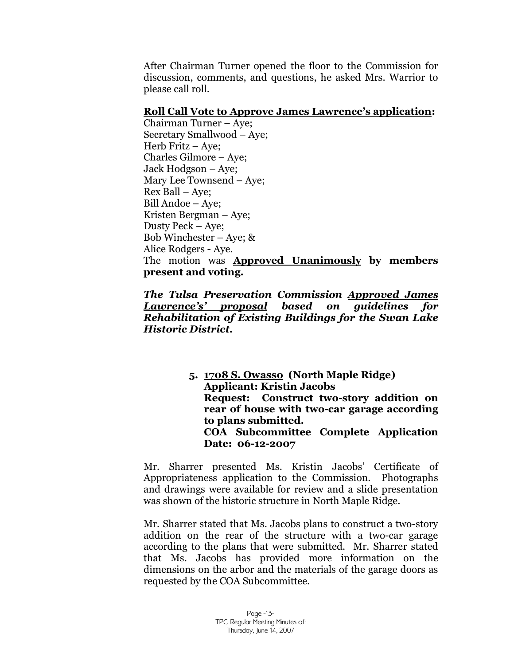After Chairman Turner opened the floor to the Commission for discussion, comments, and questions, he asked Mrs. Warrior to please call roll.

#### **Roll Call Vote to Approve James Lawrence's application:**

Chairman Turner – Aye; Secretary Smallwood – Aye; Herb Fritz – Aye; Charles Gilmore – Aye; Jack Hodgson – Aye; Mary Lee Townsend – Aye; Rex Ball – Aye; Bill Andoe – Aye; Kristen Bergman – Aye; Dusty Peck – Aye; Bob Winchester – Aye; & Alice Rodgers - Aye. The motion was **Approved Unanimously by members present and voting.**

*The Tulsa Preservation Commission Approved James Lawrence's' proposal based on guidelines for Rehabilitation of Existing Buildings for the Swan Lake Historic District.*

> **5. 1708 S. Owasso (North Maple Ridge) Applicant: Kristin Jacobs Request: Construct two-story addition on rear of house with two-car garage according to plans submitted. COA Subcommittee Complete Application Date: 06-12-2007**

Mr. Sharrer presented Ms. Kristin Jacobs' Certificate of Appropriateness application to the Commission. Photographs and drawings were available for review and a slide presentation was shown of the historic structure in North Maple Ridge.

Mr. Sharrer stated that Ms. Jacobs plans to construct a two-story addition on the rear of the structure with a two-car garage according to the plans that were submitted. Mr. Sharrer stated that Ms. Jacobs has provided more information on the dimensions on the arbor and the materials of the garage doors as requested by the COA Subcommittee.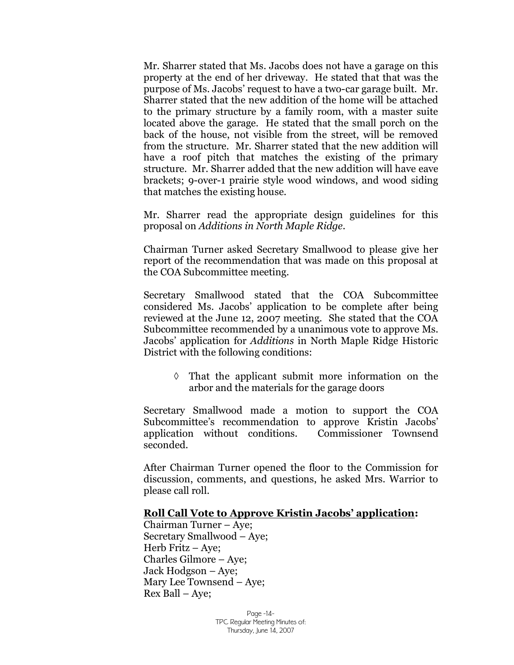Mr. Sharrer stated that Ms. Jacobs does not have a garage on this property at the end of her driveway. He stated that that was the purpose of Ms. Jacobs' request to have a two-car garage built. Mr. Sharrer stated that the new addition of the home will be attached to the primary structure by a family room, with a master suite located above the garage. He stated that the small porch on the back of the house, not visible from the street, will be removed from the structure. Mr. Sharrer stated that the new addition will have a roof pitch that matches the existing of the primary structure. Mr. Sharrer added that the new addition will have eave brackets; 9-over-1 prairie style wood windows, and wood siding that matches the existing house.

Mr. Sharrer read the appropriate design guidelines for this proposal on *Additions in North Maple Ridge.* 

Chairman Turner asked Secretary Smallwood to please give her report of the recommendation that was made on this proposal at the COA Subcommittee meeting.

Secretary Smallwood stated that the COA Subcommittee considered Ms. Jacobs' application to be complete after being reviewed at the June 12, 2007 meeting. She stated that the COA Subcommittee recommended by a unanimous vote to approve Ms. Jacobs'application for *Additions* in North Maple Ridge Historic District with the following conditions:

> $\Diamond$  That the applicant submit more information on the arbor and the materials for the garage doors

Secretary Smallwood made a motion to support the COA Subcommittee's recommendation to approve Kristin Jacobs' application without conditions. Commissioner Townsend seconded.

After Chairman Turner opened the floor to the Commission for discussion, comments, and questions, he asked Mrs. Warrior to please call roll.

#### **Roll Call Vote to Approve Kristin Jacobs' application:**

Chairman Turner – Aye; Secretary Smallwood – Aye; Herb Fritz – Aye; Charles Gilmore – Aye; Jack Hodgson – Aye; Mary Lee Townsend – Aye; Rex Ball – Aye;

> Page -14- TPC Regular Meeting Minutes of: Thursday, June 14, 2007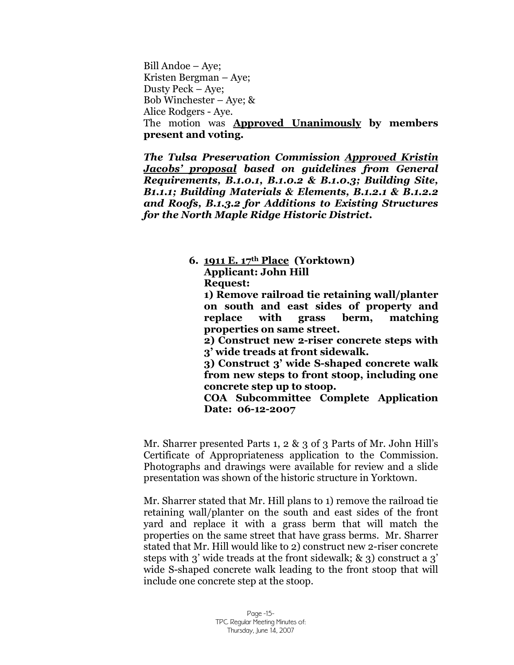Bill Andoe – Aye; Kristen Bergman – Aye; Dusty Peck – Aye; Bob Winchester – Aye; & Alice Rodgers - Aye. The motion was **Approved Unanimously by members present and voting.**

*The Tulsa Preservation Commission Approved Kristin Jacobs'proposal based on guidelines from General Requirements, B.1.0.1, B.1.0.2 & B.1.0.3; Building Site, B1.1.1; Building Materials & Elements, B.1.2.1 & B.1.2.2 and Roofs, B.1.3.2 for Additions to Existing Structures for the North Maple Ridge Historic District.*

> **6. 1911 E. 17th Place (Yorktown) Applicant: John Hill Request:**

**1) Remove railroad tie retaining wall/planter on south and east sides of property and replace with grass berm, matching properties on same street.**

**2) Construct new 2-riser concrete steps with 3' wide treads at front sidewalk.**

**3) Construct 3' wide S-shaped concrete walk from new steps to front stoop, including one concrete step up to stoop.**

**COA Subcommittee Complete Application Date: 06-12-2007**

Mr. Sharrer presented Parts 1, 2 & 3 of 3 Parts of Mr. John Hill's Certificate of Appropriateness application to the Commission. Photographs and drawings were available for review and a slide presentation was shown of the historic structure in Yorktown.

Mr. Sharrer stated that Mr. Hill plans to 1) remove the railroad tie retaining wall/planter on the south and east sides of the front yard and replace it with a grass berm that will match the properties on the same street that have grass berms. Mr. Sharrer stated that Mr. Hill would like to 2) construct new 2-riser concrete steps with 3' wide treads at the front sidewalk; & 3) construct a 3' wide S-shaped concrete walk leading to the front stoop that will include one concrete step at the stoop.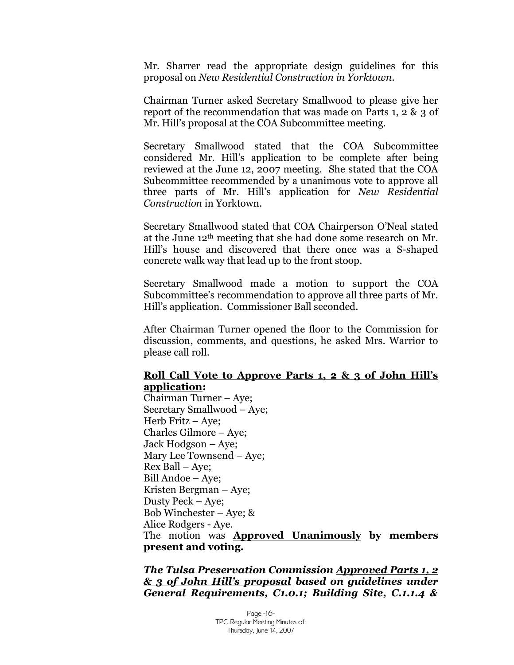Mr. Sharrer read the appropriate design guidelines for this proposal on *New Residential Construction in Yorktown.*

Chairman Turner asked Secretary Smallwood to please give her report of the recommendation that was made on Parts 1, 2 & 3 of Mr. Hill's proposal at the COA Subcommittee meeting.

Secretary Smallwood stated that the COA Subcommittee considered Mr. Hill's application to be complete after being reviewed at the June 12, 2007 meeting. She stated that the COA Subcommittee recommended by a unanimous vote to approve all three parts of Mr. Hill's application for *New Residential Construction* in Yorktown.

Secretary Smallwood stated that COA Chairperson O'Neal stated at the June 12th meeting that she had done some research on Mr. Hill's house and discovered that there once was a S-shaped concrete walk way that lead up to the front stoop.

Secretary Smallwood made a motion to support the COA Subcommittee's recommendation to approve all three parts of Mr. Hill's application. Commissioner Ball seconded.

After Chairman Turner opened the floor to the Commission for discussion, comments, and questions, he asked Mrs. Warrior to please call roll.

#### **Roll Call Vote to Approve Parts 1, 2 & 3 of John Hill's application:**

Chairman Turner – Aye; Secretary Smallwood – Aye; Herb Fritz – Aye; Charles Gilmore – Aye; Jack Hodgson – Aye; Mary Lee Townsend – Aye; Rex Ball – Aye; Bill Andoe –Aye; Kristen Bergman – Aye; Dusty Peck – Aye; Bob Winchester – Aye; & Alice Rodgers - Aye. The motion was **Approved Unanimously by members present and voting.**

*The Tulsa Preservation Commission Approved Parts 1, 2 & 3 of John Hill's proposal based on guidelines under General Requirements, C1.0.1; Building Site, C.1.1.4 &*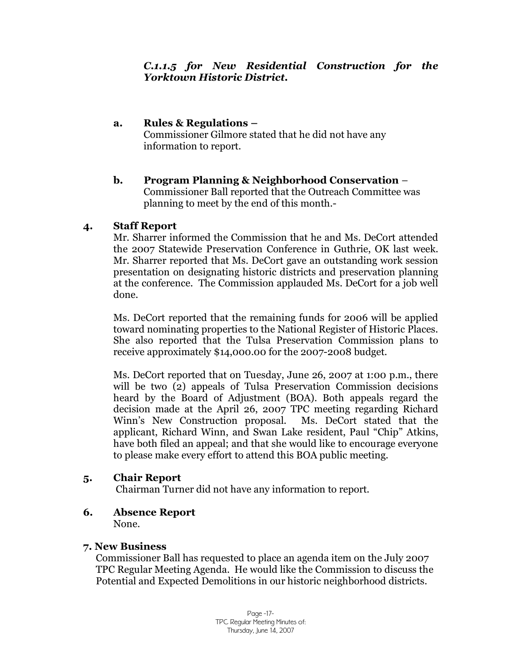# **a. Rules & Regulations –**

Commissioner Gilmore stated that he did not have any information to report.

### **b. Program Planning & Neighborhood Conservation** – Commissioner Ball reported that the Outreach Committee was planning to meet by the end of this month.-

# **4. Staff Report**

Mr. Sharrer informed the Commission that he and Ms. DeCort attended the 2007 Statewide Preservation Conference in Guthrie, OK last week. Mr. Sharrer reported that Ms. DeCort gave an outstanding work session presentation on designating historic districts and preservation planning at the conference. The Commission applauded Ms. DeCort for a job well done.

Ms. DeCort reported that the remaining funds for 2006 will be applied toward nominating properties to the National Register of Historic Places. She also reported that the Tulsa Preservation Commission plans to receive approximately \$14,000.00 for the 2007-2008 budget.

Ms. DeCort reported that on Tuesday, June 26, 2007 at 1:00 p.m., there will be two (2) appeals of Tulsa Preservation Commission decisions heard by the Board of Adjustment (BOA). Both appeals regard the decision made at the April 26, 2007 TPC meeting regarding Richard Winn's New Construction proposal. Ms. DeCort stated that the applicant, Richard Winn, and Swan Lake resident, Paul "Chip" Atkins, have both filed an appeal; and that she would like to encourage everyone to please make every effort to attend this BOA public meeting.

# **5. Chair Report**

Chairman Turner did not have any information to report.

**6. Absence Report**

None.

# **7. New Business**

Commissioner Ball has requested to place an agenda item on the July 2007 TPC Regular Meeting Agenda. He would like the Commission to discuss the Potential and Expected Demolitions in our historic neighborhood districts.